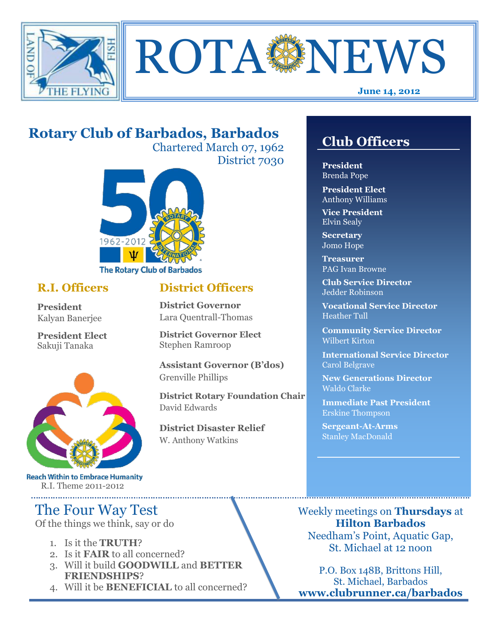



#### **June 14, 2012**

# **Rotary Club of Barbados, Barbados**

Chartered March 07, 1962 District 7030

**District Officers**

**District Governor Elect**

**District Disaster Relief**

W. Anthony Watkins

**Assistant Governor (B'dos)**

**District Rotary Foundation Chair**

**District Governor** Lara Quentrall-Thomas

Stephen Ramroop

Grenville Phillips

David Edwards



## **R.I. Officers**

**President**  Kalyan Banerjee

**President Elect** Sakuji Tanaka



**Reach Within to Embrace Humanity** R.I. Theme 2011-2012

# The Four Way Test

Of the things we think, say or do

- 1. Is it the **TRUTH**?
- 2. Is it **FAIR** to all concerned?
- 3. Will it build **GOODWILL** and **BETTER FRIENDSHIPS**?
- 4. Will it be **BENEFICIAL** to all concerned?

# **Club Officers**

**Club Officers** 

**President** Brenda Pope

**President Elect** Anthony Williams

**Vice President** Elvin Sealy

**Secretary** Jomo Hope

**Treasurer** PAG Ivan Browne

**Club Service Director** Jedder Robinson

**Vocational Service Director** Heather Tull

**Community Service Director** Wilbert Kirton

**International Service Director** Carol Belgrave

**New Generations Director** Waldo Clarke

**Immediate Past President** Erskine Thompson

**Sergeant-At-Arms** Stanley MacDonald

Weekly meetings on **Thursdays** at **Hilton Barbados** Needham's Point, Aquatic Gap, St. Michael at 12 noon

P.O. Box 148B, Brittons Hill, St. Michael, Barbados **www.clubrunner.ca/barbados**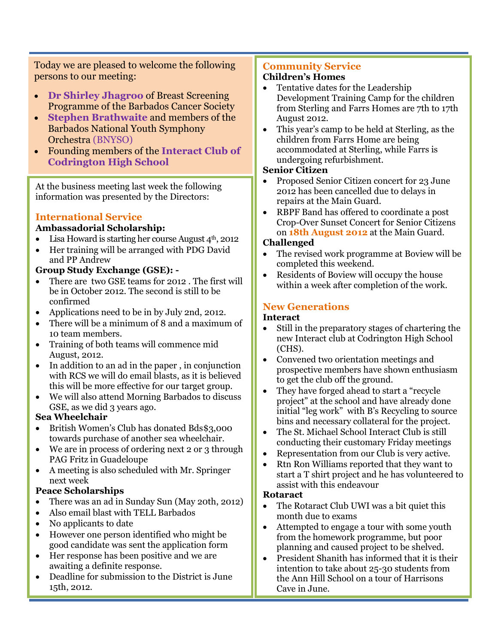Today we are pleased to welcome the following persons to our meeting:

- **Dr Shirley Jhagroo** of Breast Screening Programme of the Barbados Cancer Society
- **Stephen Brathwaite** and members of the Barbados National Youth Symphony Orchestra (BNYSO)
- Founding members of the **Interact Club of Codrington High School**

At the business meeting last week the following information was presented by the Directors:

## **International Service**

#### **Ambassadorial Scholarship:**

- Lisa Howard is starting her course August  $4<sup>th</sup>$ , 2012
- Her training will be arranged with PDG David and PP Andrew

### **Group Study Exchange (GSE): -**

- There are two GSE teams for 2012 . The first will be in October 2012. The second is still to be confirmed
- Applications need to be in by July 2nd, 2012.
- There will be a minimum of 8 and a maximum of 10 team members.
- Training of both teams will commence mid August, 2012.
- In addition to an ad in the paper, in conjunction with RCS we will do email blasts, as it is believed this will be more effective for our target group.
- We will also attend Morning Barbados to discuss GSE, as we did 3 years ago.

#### **Sea Wheelchair**

- British Women's Club has donated Bds\$3,000 towards purchase of another sea wheelchair.
- We are in process of ordering next 2 or 3 through PAG Fritz in Guadeloupe
- A meeting is also scheduled with Mr. Springer next week

## **Peace Scholarships**

- There was an ad in Sunday Sun (May 20th, 2012)
- Also email blast with TELL Barbados
- No applicants to date
- However one person identified who might be good candidate was sent the application form
- Her response has been positive and we are awaiting a definite response.
- Deadline for submission to the District is June 15th, 2012.

#### **Community Service Children's Homes**

- Tentative dates for the Leadership Development Training Camp for the children from Sterling and Farrs Homes are 7th to 17th August 2012.
- This year's camp to be held at Sterling, as the children from Farrs Home are being accommodated at Sterling, while Farrs is undergoing refurbishment.

#### **Senior Citizen**

- Proposed Senior Citizen concert for 23 June 2012 has been cancelled due to delays in repairs at the Main Guard.
- RBPF Band has offered to coordinate a post Crop-Over Sunset Concert for Senior Citizens on **18th August 2012** at the Main Guard.

#### **Challenged**

- The revised work programme at Boview will be completed this weekend.
- Residents of Boview will occupy the house within a week after completion of the work.

## **New Generations**

### **Interact**

- Still in the preparatory stages of chartering the new Interact club at Codrington High School (CHS).
- Convened two orientation meetings and prospective members have shown enthusiasm to get the club off the ground.
- They have forged ahead to start a "recycle" project" at the school and have already done initial "leg work" with B's Recycling to source bins and necessary collateral for the project.
- The St. Michael School Interact Club is still conducting their customary Friday meetings
- Representation from our Club is very active.
- Rtn Ron Williams reported that they want to start a T shirt project and he has volunteered to assist with this endeavour

## **Rotaract**

- The Rotaract Club UWI was a bit quiet this month due to exams
- Attempted to engage a tour with some youth from the homework programme, but poor planning and caused project to be shelved.
- President Shanith has informed that it is their intention to take about 25-30 students from the Ann Hill School on a tour of Harrisons Cave in June.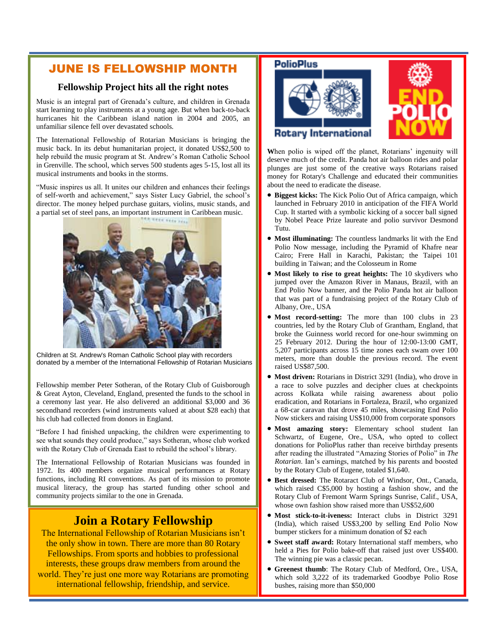## JUNE IS FELLOWSHIP MONTH

#### **Fellowship Project hits all the right notes**

Music is an integral part of Grenada's culture, and children in Grenada start learning to play instruments at a young age. But when back-to-back hurricanes hit the Caribbean island nation in 2004 and 2005, an unfamiliar silence fell over devastated schools.

The International Fellowship of Rotarian Musicians is bringing the music back. In its debut humanitarian project, it donated US\$2,500 to help rebuild the music program at St. Andrew's Roman Catholic School in Grenville. The school, which serves 500 students ages 5-15, lost all its musical instruments and books in the storms.

"Music inspires us all. It unites our children and enhances their feelings of self-worth and achievement," says Sister Lucy Gabriel, the school's director. The money helped purchase guitars, violins, music stands, and a partial set of steel pans, an important instrument in Caribbean music.



Children at St. Andrew's Roman Catholic School play with recorders donated by a member of the International Fellowship of Rotarian Musicians

Fellowship member Peter Sotheran, of the Rotary Club of Guisborough & Great Ayton, Cleveland, England, presented the funds to the school in a ceremony last year. He also delivered an additional \$3,000 and 36 secondhand recorders (wind instruments valued at about \$28 each) that his club had collected from donors in England.

"Before I had finished unpacking, the children were experimenting to see what sounds they could produce," says Sotheran, whose club worked with the Rotary Club of Grenada East to rebuild the school's library.

The International Fellowship of Rotarian Musicians was founded in 1972. Its 400 members organize musical performances at Rotary functions, including RI conventions. As part of its mission to promote musical literacy, the group has started funding other school and community projects similar to the one in Grenada.

# **Join a Rotary Fellowship**

The International Fellowship of Rotarian Musicians isn't the only show in town. There are more than 80 Rotary Fellowships. From sports and hobbies to professional interests, these groups draw members from around the world. They're just one more way Rotarians are promoting international fellowship, friendship, and service.

#### **PolioPlus**





**W**hen polio is wiped off the planet, Rotarians' ingenuity will deserve much of the credit. Panda hot air balloon rides and polar plunges are just some of the creative ways Rotarians raised money for Rotary's Challenge and educated their communities about the need to eradicate the disease.

- **Biggest kicks:** The Kick Polio Out of Africa campaign, which launched in February 2010 in anticipation of the FIFA World Cup. It started with a symbolic kicking of a soccer ball signed by Nobel Peace Prize laureate and polio survivor Desmond Tutu.
- **Most illuminating:** The countless landmarks lit with the End Polio Now message, including the Pyramid of Khafre near Cairo; Frere Hall in Karachi, Pakistan; the Taipei 101 building in Taiwan; and the Colosseum in Rome
- **Most likely to rise to great heights:** The 10 skydivers who jumped over the Amazon River in Manaus, Brazil, with an End Polio Now banner, and the Polio Panda hot air balloon that was part of a fundraising project of the Rotary Club of Albany, Ore., USA
- **Most record-setting:** The more than 100 clubs in 23 countries, led by the Rotary Club of Grantham, England, that broke the Guinness world record for one-hour swimming on 25 February 2012. During the hour of 12:00-13:00 GMT, 5,207 participants across 15 time zones each swam over 100 meters, more than double the previous record. The event raised US\$87,500.
- **Most driven:** Rotarians in District 3291 (India), who drove in a race to solve puzzles and decipher clues at checkpoints across Kolkata while raising awareness about polio eradication, and Rotarians in Fortaleza, Brazil, who organized a 68-car caravan that drove 45 miles, showcasing End Polio Now stickers and raising US\$10,000 from corporate sponsors
- **Most amazing story:** Elementary school student Ian Schwartz, of Eugene, Ore., USA, who opted to collect donations for PolioPlus rather than receive birthday presents after reading the illustrated "Amazing Stories of Polio" in *The Rotarian*. Ian's earnings, matched by his parents and boosted by the Rotary Club of Eugene, totaled \$1,640.
- **Best dressed:** The Rotaract Club of Windsor, Ont., Canada, which raised C\$5,000 by hosting a fashion show, and the Rotary Club of Fremont Warm Springs Sunrise, Calif., USA, whose own fashion show raised more than US\$52,600
- **Most stick-to-it-iveness:** Interact clubs in District 3291 (India), which raised US\$3,200 by selling End Polio Now bumper stickers for a minimum donation of \$2 each
- **Sweet staff award:** Rotary International staff members, who held a Pies for Polio bake-off that raised just over US\$400. The winning pie was a classic pecan.
- **Greenest thumb**: The Rotary Club of Medford, Ore., USA, which sold 3,222 of its trademarked Goodbye Polio Rose bushes, raising more than \$50,000